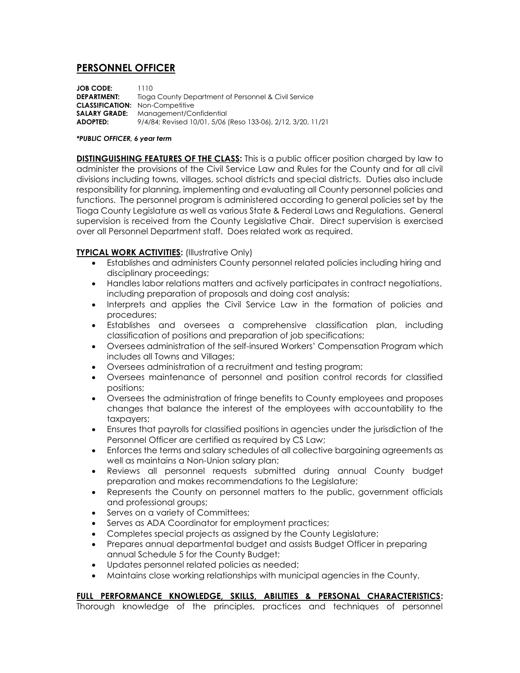## **PERSONNEL OFFICER**

**JOB CODE:** 1110 **DEPARTMENT:** Tioga County Department of Personnel & Civil Service **CLASSIFICATION:** Non-Competitive **SALARY GRADE:** Management/Confidential **ADOPTED:** 9/4/84; Revised 10/01, 5/06 (Reso 133-06), 2/12, 3/20, 11/21

## *\*PUBLIC OFFICER, 6 year term*

**DISTINGUISHING FEATURES OF THE CLASS:** This is a public officer position charged by law to administer the provisions of the Civil Service Law and Rules for the County and for all civil divisions including towns, villages, school districts and special districts. Duties also include responsibility for planning, implementing and evaluating all County personnel policies and functions. The personnel program is administered according to general policies set by the Tioga County Legislature as well as various State & Federal Laws and Regulations. General supervision is received from the County Legislative Chair. Direct supervision is exercised over all Personnel Department staff. Does related work as required.

## **TYPICAL WORK ACTIVITIES:** (Illustrative Only)

- Establishes and administers County personnel related policies including hiring and disciplinary proceedings;
- Handles labor relations matters and actively participates in contract negotiations, including preparation of proposals and doing cost analysis;
- Interprets and applies the Civil Service Law in the formation of policies and procedures;
- Establishes and oversees a comprehensive classification plan, including classification of positions and preparation of job specifications;
- Oversees administration of the self-insured Workers' Compensation Program which includes all Towns and Villages;
- Oversees administration of a recruitment and testing program;
- Oversees maintenance of personnel and position control records for classified positions;
- Oversees the administration of fringe benefits to County employees and proposes changes that balance the interest of the employees with accountability to the taxpayers;
- Ensures that payrolls for classified positions in agencies under the jurisdiction of the Personnel Officer are certified as required by CS Law;
- Enforces the terms and salary schedules of all collective bargaining agreements as well as maintains a Non-Union salary plan;
- Reviews all personnel requests submitted during annual County budget preparation and makes recommendations to the Legislature;
- Represents the County on personnel matters to the public, government officials and professional groups;
- Serves on a variety of Committees;
- Serves as ADA Coordinator for employment practices;
- Completes special projects as assigned by the County Legislature;
- Prepares annual departmental budget and assists Budget Officer in preparing annual Schedule 5 for the County Budget;
- Updates personnel related policies as needed;
- Maintains close working relationships with municipal agencies in the County,

## **FULL PERFORMANCE KNOWLEDGE, SKILLS, ABILITIES & PERSONAL CHARACTERISTICS:**

Thorough knowledge of the principles, practices and techniques of personnel